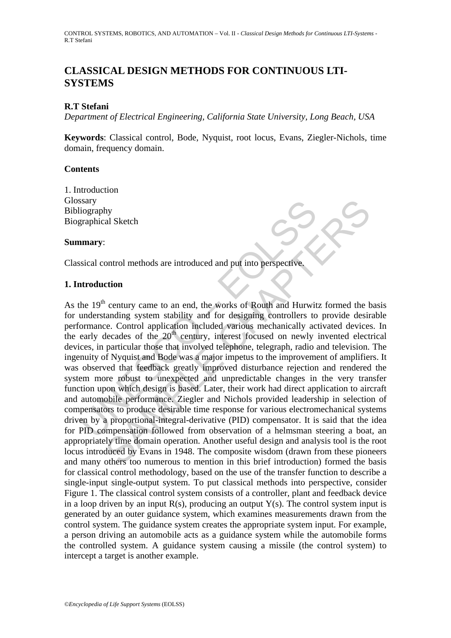## **CLASSICAL DESIGN METHODS FOR CONTINUOUS LTI-SYSTEMS**

## **R.T Stefani**

*Department of Electrical Engineering, California State University, Long Beach, USA* 

**Keywords**: Classical control, Bode, Nyquist, root locus, Evans, Ziegler-Nichols, time domain, frequency domain.

### **Contents**

1. Introduction **Glossary** Bibliography Biographical Sketch

#### **Summary**:

Classical control methods are introduced and put into perspective.

### **1. Introduction**

Saray<br>
iography<br>
interpretical Sketch<br> **amary:**<br>
ssical control methods are introduced and put into perspective<br> **atroduction**<br>
the 19<sup>th</sup> century came to an end, the works of Routh and Hurwit<br>
understanding system stabil al Sketch<br>
al Sketch<br>
al Sketch<br>
control methods are introduced and put into perspective.<br>
control methods are introduced and put into perspective.<br>
c. Control application methods various mechanically activated device-<br>
ce As the  $19<sup>th</sup>$  century came to an end, the works of Routh and Hurwitz formed the basis for understanding system stability and for designing controllers to provide desirable performance. Control application included various mechanically activated devices. In the early decades of the  $20<sup>th</sup>$  century, interest focused on newly invented electrical devices, in particular those that involved telephone, telegraph, radio and television. The ingenuity of Nyquist and Bode was a major impetus to the improvement of amplifiers. It was observed that feedback greatly improved disturbance rejection and rendered the system more robust to unexpected and unpredictable changes in the very transfer function upon which design is based. Later, their work had direct application to aircraft and automobile performance. Ziegler and Nichols provided leadership in selection of compensators to produce desirable time response for various electromechanical systems driven by a proportional-integral-derivative (PID) compensator. It is said that the idea for PID compensation followed from observation of a helmsman steering a boat, an appropriately time domain operation. Another useful design and analysis tool is the root locus introduced by Evans in 1948. The composite wisdom (drawn from these pioneers and many others too numerous to mention in this brief introduction) formed the basis for classical control methodology, based on the use of the transfer function to describe a single-input single-output system. To put classical methods into perspective, consider Figure 1. The classical control system consists of a controller, plant and feedback device in a loop driven by an input  $R(s)$ , producing an output  $Y(s)$ . The control system input is generated by an outer guidance system, which examines measurements drawn from the control system. The guidance system creates the appropriate system input. For example, a person driving an automobile acts as a guidance system while the automobile forms the controlled system. A guidance system causing a missile (the control system) to intercept a target is another example.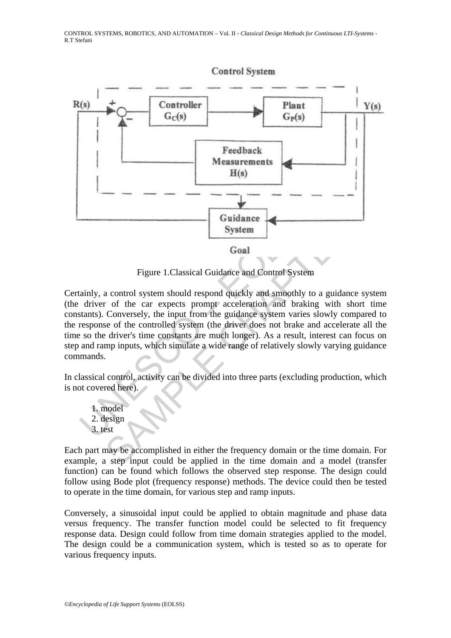

Figure 1.Classical Guidance and Control System

Guidance<br>
System<br>
System<br>
Goal<br>
Figure 1.Classical Guidance and Control System<br>
tainly, a control system should respond quickly and smoothly to<br>
driver of the car expects prompt acceleration and braking<br>
stants). Conversel Guidance<br>
System<br>
Goal<br>
Figure 1.Classical Guidance and Control System<br>
a control system should respond quickly and smoothly to a guidance sy<br>
of the car expects prompt acceleration and braking with short<br>
Conversely, the Certainly, a control system should respond quickly and smoothly to a guidance system (the driver of the car expects prompt acceleration and braking with short time constants). Conversely, the input from the guidance system varies slowly compared to the response of the controlled system (the driver does not brake and accelerate all the time so the driver's time constants are much longer). As a result, interest can focus on step and ramp inputs, which simulate a wide range of relatively slowly varying guidance commands.

In classical control, activity can be divided into three parts (excluding production, which is not covered here).

1. model 2. design 3. test

Each part may be accomplished in either the frequency domain or the time domain. For example, a step input could be applied in the time domain and a model (transfer function) can be found which follows the observed step response. The design could follow using Bode plot (frequency response) methods. The device could then be tested to operate in the time domain, for various step and ramp inputs.

Conversely, a sinusoidal input could be applied to obtain magnitude and phase data versus frequency. The transfer function model could be selected to fit frequency response data. Design could follow from time domain strategies applied to the model. The design could be a communication system, which is tested so as to operate for various frequency inputs.